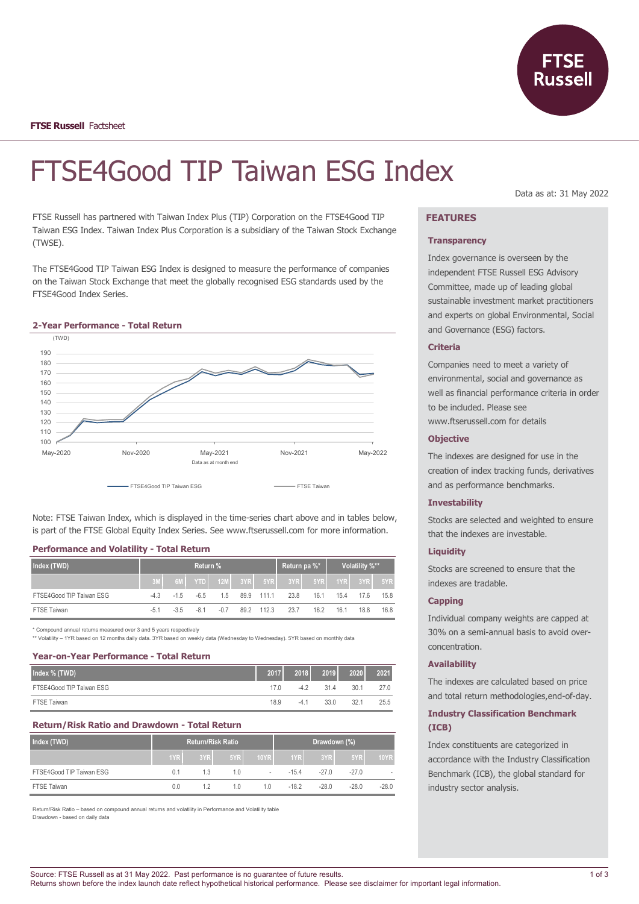

# FTSE4Good TIP Taiwan ESG Index

FTSE Russell has partnered with Taiwan Index Plus (TIP) Corporation on the FTSE4Good TIP Taiwan ESG Index. Taiwan Index Plus Corporation is a subsidiary of the Taiwan Stock Exchange (TWSE).

The FTSE4Good TIP Taiwan ESG Index is designed to measure the performance of companies on the Taiwan Stock Exchange that meet the globally recognised ESG standards used by the FTSE4Good Index Series.





Note: FTSE Taiwan Index, which is displayed in the time-series chart above and in tables below, is part of the FTSE Global Equity Index Series. See www.ftserussell.com for more information.

# **Performance and Volatility - Total Return**

| Index (TWD)              | <b>Return %</b> |                      |     |        | ∣ Return pa %* <sup>'</sup> |                                             | Volatility %** |      |      |      |
|--------------------------|-----------------|----------------------|-----|--------|-----------------------------|---------------------------------------------|----------------|------|------|------|
|                          |                 |                      |     |        |                             | 6ML YTDL 12ML 3YRL 5YRL 3YRL 5YRL 1YRL 3YRL |                |      |      | 5YR  |
| FTSE4Good TIP Taiwan ESG |                 | $-4.3$ $-1.5$ $-6.5$ |     | 1.5    | 89.9 111.1                  | 23.8                                        | 16.1           | 15.4 | 17.6 | 15.8 |
| <b>FTSE Taiwan</b>       | $-5.1$          | $-3.5$               | -81 | $-0.7$ | 89.2 112.3                  | 23.7                                        | 16.2           | 16.1 | 18.8 | 16.8 |

\* Compound annual returns measured over 3 and 5 years respectively

\*\* Volatility – 1YR based on 12 months daily data. 3YR based on weekly data (Wednesday to Wednesday). 5YR based on monthly data

## **Year-on-Year Performance - Total Return**

| Index % (TWD)            | 2017            | 2018   | 2019 | 2020 | 2021 |
|--------------------------|-----------------|--------|------|------|------|
| FTSE4Good TIP Taiwan ESG | 17 <sub>0</sub> | -42    | 31.4 | 30.1 | 27.0 |
| FTSE Taiwan              | 18.9            | $-4.1$ | 33.0 | 32.1 | 25.5 |

## **Return/Risk Ratio and Drawdown - Total Return**

| Index (TWD)              | <b>Return/Risk Ratio</b> |     |     | Drawdown (%) |                  |        |         |             |
|--------------------------|--------------------------|-----|-----|--------------|------------------|--------|---------|-------------|
|                          | 1YR                      | 3YR | 5YR | 10YR         | 1YR <sub>L</sub> | 3YR    | 5YR     | <b>10YR</b> |
| FTSE4Good TIP Taiwan ESG | 0.1                      | 1.3 | 1.0 | ٠            | $-154$           | $-270$ | $-270$  |             |
| <b>FTSE Taiwan</b>       | 0.0                      | 12  | 1.0 | 10           | $-18.2$          | $-280$ | $-28.0$ | $-28.0$     |

Return/Risk Ratio – based on compound annual returns and volatility in Performance and Volatility table Drawdown - based on daily data

Data as at: 31 May 2022

# **FEATURES**

#### **Transparency**

Index governance is overseen by the independent FTSE Russell ESG Advisory Committee, made up of leading global sustainable investment market practitioners and experts on global Environmental, Social and Governance (ESG) factors.

## **Criteria**

Companies need to meet a variety of environmental, social and governance as well as financial performance criteria in order to be included. Please see www.ftserussell.com for details

#### **Objective**

The indexes are designed for use in the creation of index tracking funds, derivatives and as performance benchmarks.

## **Investability**

Stocks are selected and weighted to ensure that the indexes are investable.

#### **Liquidity**

Stocks are screened to ensure that the indexes are tradable.

#### **Capping**

Individual company weights are capped at 30% on a semi-annual basis to avoid overconcentration.

### **Availability**

The indexes are calculated based on price and total return methodologies,end-of-day.

## **Industry Classification Benchmark (ICB)**

Index constituents are categorized in accordance with the Industry Classification Benchmark (ICB), the global standard for industry sector analysis.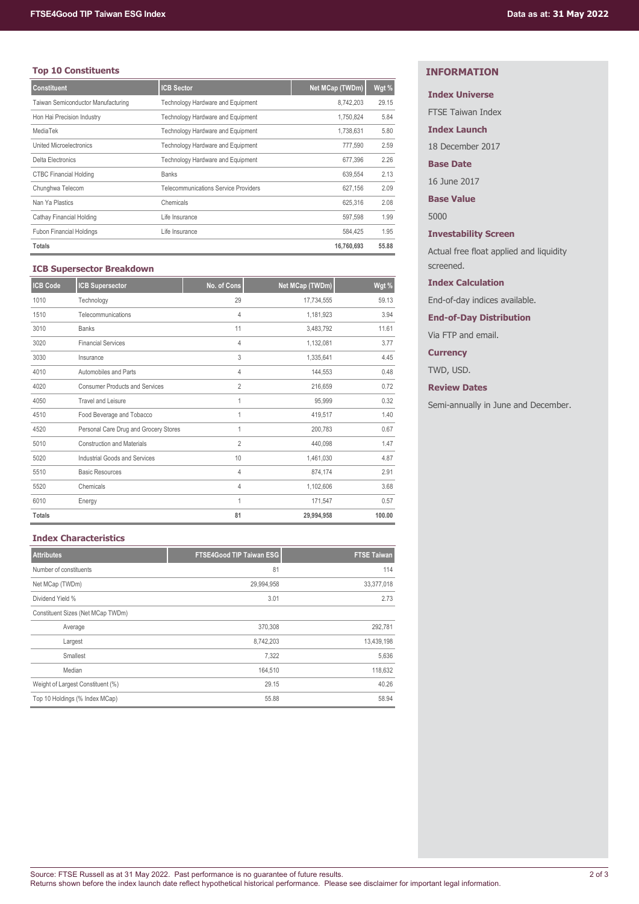## **Top 10 Constituents**

| <b>Constituent</b>                 | <b>ICB Sector</b>                           | Net MCap (TWDm) | Wgt % |
|------------------------------------|---------------------------------------------|-----------------|-------|
| Taiwan Semiconductor Manufacturing | Technology Hardware and Equipment           | 8,742,203       | 29.15 |
| Hon Hai Precision Industry         | Technology Hardware and Equipment           | 1.750.824       | 5.84  |
| MediaTek                           | Technology Hardware and Equipment           | 1.738.631       | 5.80  |
| <b>United Microelectronics</b>     | Technology Hardware and Equipment           | 777.590         | 2.59  |
| Delta Electronics                  | Technology Hardware and Equipment           | 677.396         | 2.26  |
| <b>CTBC Financial Holding</b>      | <b>Banks</b>                                | 639,554         | 2.13  |
| Chunghwa Telecom                   | <b>Telecommunications Service Providers</b> | 627.156         | 2.09  |
| Nan Ya Plastics                    | Chemicals                                   | 625.316         | 2.08  |
| Cathay Financial Holding           | Life Insurance                              | 597.598         | 1.99  |
| <b>Fubon Financial Holdings</b>    | Life Insurance                              | 584.425         | 1.95  |
| <b>Totals</b>                      |                                             | 16,760,693      | 55.88 |

## **ICB Supersector Breakdown**

| <b>ICB Code</b> | <b>ICB Supersector</b>                | No. of Cons    | Net MCap (TWDm) | Wgt %  |
|-----------------|---------------------------------------|----------------|-----------------|--------|
| 1010            | Technology                            | 29             | 17,734,555      | 59.13  |
| 1510            | Telecommunications                    | 4              | 1,181,923       | 3.94   |
| 3010            | <b>Banks</b>                          | 11             | 3,483,792       | 11.61  |
| 3020            | <b>Financial Services</b>             | $\overline{4}$ | 1,132,081       | 3.77   |
| 3030            | Insurance                             | 3              | 1,335,641       | 4.45   |
| 4010            | Automobiles and Parts                 | 4              | 144,553         | 0.48   |
| 4020            | <b>Consumer Products and Services</b> | $\overline{2}$ | 216,659         | 0.72   |
| 4050            | <b>Travel and Leisure</b>             |                | 95,999          | 0.32   |
| 4510            | Food Beverage and Tobacco             | 1              | 419,517         | 1.40   |
| 4520            | Personal Care Drug and Grocery Stores | 1              | 200,783         | 0.67   |
| 5010            | <b>Construction and Materials</b>     | $\overline{2}$ | 440,098         | 1.47   |
| 5020            | <b>Industrial Goods and Services</b>  | 10             | 1,461,030       | 4.87   |
| 5510            | <b>Basic Resources</b>                | 4              | 874,174         | 2.91   |
| 5520            | Chemicals                             | 4              | 1,102,606       | 3.68   |
| 6010            | Energy                                | 1              | 171,547         | 0.57   |
| <b>Totals</b>   |                                       | 81             | 29,994,958      | 100.00 |

# **Index Characteristics**

| <b>Attributes</b>                 | <b>FTSE4Good TIP Taiwan ESG</b> | <b>FTSE Taiwan</b> |
|-----------------------------------|---------------------------------|--------------------|
| Number of constituents            | 81                              | 114                |
| Net MCap (TWDm)                   | 29,994,958                      | 33,377,018         |
| Dividend Yield %                  | 3.01                            | 2.73               |
| Constituent Sizes (Net MCap TWDm) |                                 |                    |
| Average                           | 370.308                         | 292,781            |
| Largest                           | 8,742,203                       | 13,439,198         |
| Smallest                          | 7,322                           | 5,636              |
| Median                            | 164,510                         | 118,632            |
| Weight of Largest Constituent (%) | 29.15                           | 40.26              |
| Top 10 Holdings (% Index MCap)    | 55.88                           | 58.94              |

# **INFORMATION**

## **Index Universe**

FTSE Taiwan Index

**Index Launch**

18 December 2017

## **Base Date**

16 June 2017

**Base Value**

5000

**Investability Screen**

Actual free float applied and liquidity screened.

## **Index Calculation**

End-of-day indices available.

**End-of-Day Distribution**

Via FTP and email.

# **Currency**

TWD, USD.

**Review Dates**

Semi-annually in June and December.